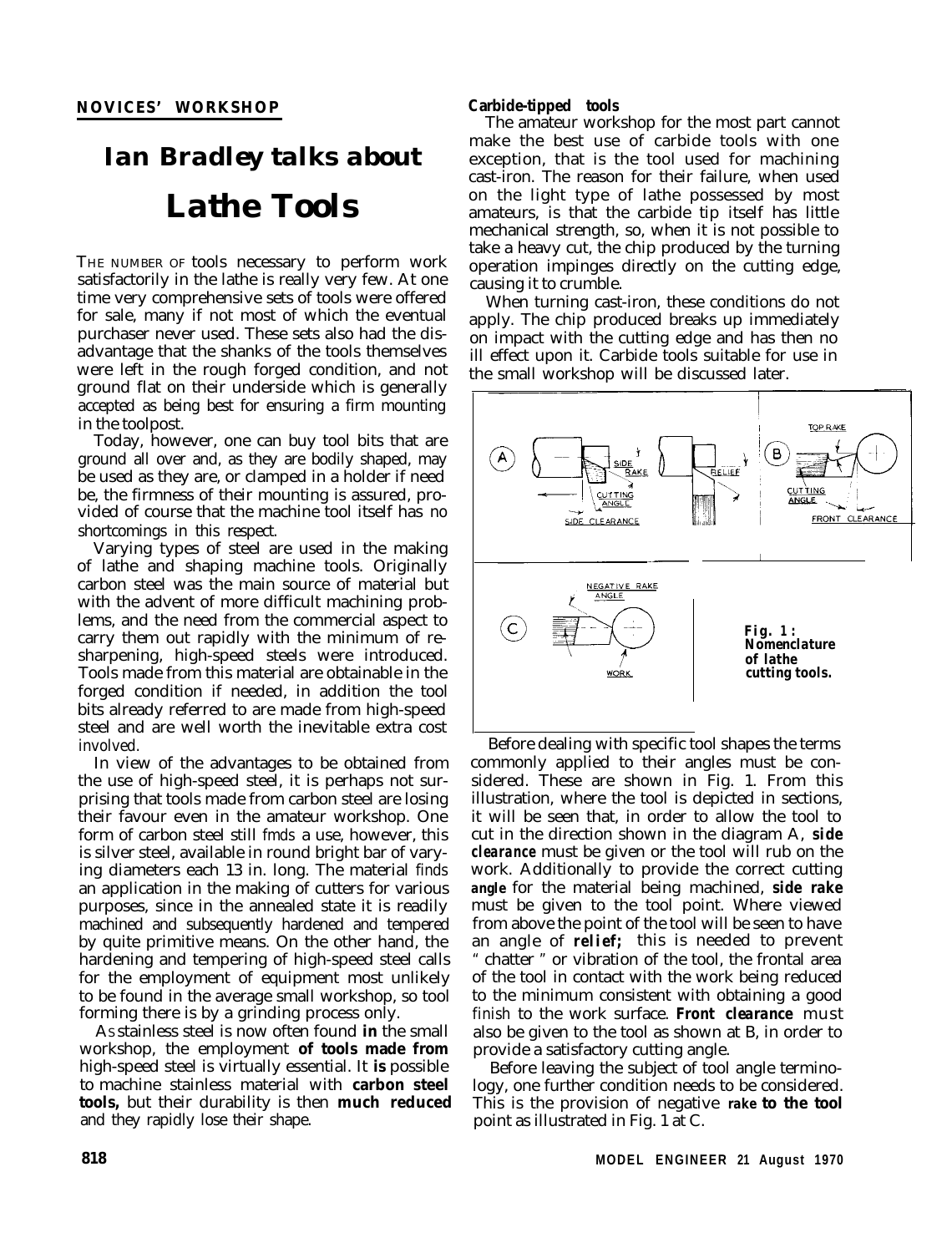## **NOVICES' WORKSHOP**

# *Ian Bradley talks about Lathe Tools*

THE NUMBER OF tools necessary to perform work satisfactorily in the lathe is really very few. At one time very comprehensive sets of tools were offered for sale, many if not most of which the eventual purchaser never used. These sets also had the disadvantage that the shanks of the tools themselves were left in the rough forged condition, and not ground flat on their underside which is generally accepted as being best for ensuring a firm mounting in the toolpost.

Today, however, one can buy tool bits that are ground all over and, as they are bodily shaped, may be used as they are, or clamped in a holder if need be, the firmness of their mounting is assured, provided of course that the machine tool itself has no shortcomings in this respect.

Varying types of steel are used in the making of lathe and shaping machine tools. Originally carbon steel was the main source of material but with the advent of more difficult machining problems, and the need from the commercial aspect to carry them out rapidly with the minimum of resharpening, high-speed steels were introduced. Tools made from this material are obtainable in the forged condition if needed, in addition the tool bits already referred to are made from high-speed steel and are well worth the inevitable extra cost involved.

In view of the advantages to be obtained from the use of high-speed steel, it is perhaps not surprising that tools made from carbon steel are losing their favour even in the amateur workshop. One form of carbon steel still fmds a use, however, this is silver steel, available in round bright bar of varying diameters each 13 in. long. The material finds an application in the making of cutters for various purposes, since in the annealed state it is readily machined and subsequently hardened and tempered by quite primitive means. On the other hand, the hardening and tempering of high-speed steel calls for the employment of equipment most unlikely to be found in the average small workshop, so tool forming there is by a grinding process only.

AS stainless steel is now often found **in** the small workshop, the employment **of tools made from** high-speed steel is virtually essential. It **is** possible to machine stainless material with **carbon steel tools,** but their durability is then **much reduced** and they rapidly lose their shape.

### **Carbide-tipped tools**

The amateur workshop for the most part cannot make the best use of carbide tools with one exception, that is the tool used for machining cast-iron. The reason for their failure, when used on the light type of lathe possessed by most amateurs, is that the carbide tip itself has little mechanical strength, so, when it is not possible to take a heavy cut, the chip produced by the turning operation impinges directly on the cutting edge, causing it to crumble.

When turning cast-iron, these conditions do not apply. The chip produced breaks up immediately on impact with the cutting edge and has then no ill effect upon it. Carbide tools suitable for use in the small workshop will be discussed later.



Before dealing with specific tool shapes the terms commonly applied to their angles must be considered. These are shown in Fig. 1. From this illustration, where the tool is depicted in sections, it will be seen that, in order to allow the tool to cut in the direction shown in the diagram A, *side clearance* must be given or the tool will rub on the work. Additionally to provide the correct cutting *angle* for the material being machined, *side rake* must be given to the tool point. Where viewed from above the point of the tool will be seen to have an angle of *relief;* this is needed to prevent " chatter " or vibration of the tool, the frontal area of the tool in contact with the work being reduced to the minimum consistent with obtaining a good finish to the work surface. *Front clearance* must also be given to the tool as shown at B, in order to provide a satisfactory cutting angle.

Before leaving the subject of tool angle terminology, one further condition needs to be considered. This is the provision of negative *rake* **to the tool** point as illustrated in Fig. 1 at C.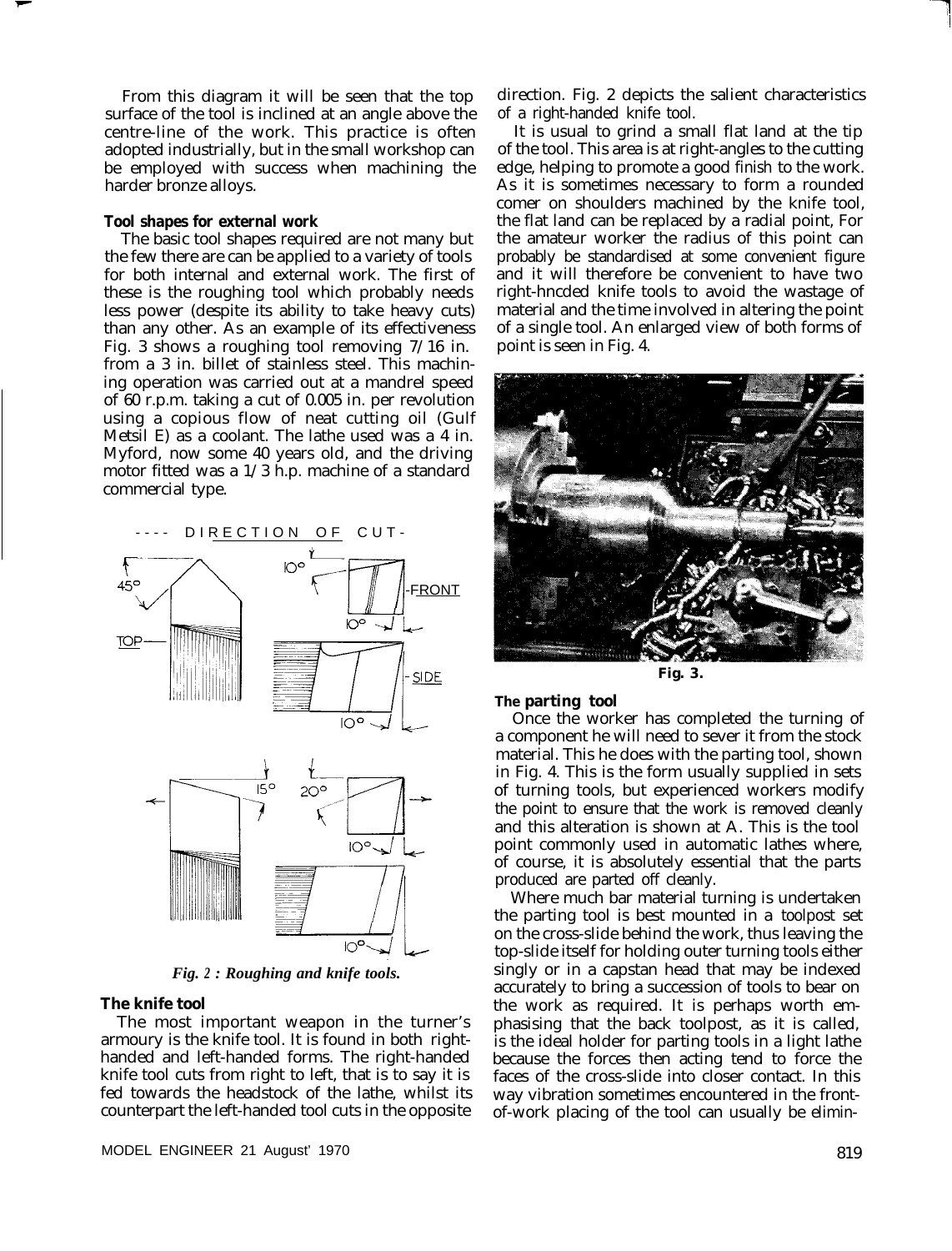From this diagram it will be seen that the top surface of the tool is inclined at an angle above the centre-line of the work. This practice is often adopted industrially, but in the small workshop can be employed with success when machining the harder bronze alloys.

#### **Tool shapes for external work**

The basic tool shapes required are not many but the few there are can be applied to a variety of tools for both internal and external work. The first of these is the roughing tool which probably needs less power (despite its ability to take heavy cuts) than any other. As an example of its effectiveness Fig. 3 shows a roughing tool removing 7/16 in. from a 3 in. billet of stainless steel. This machining operation was carried out at a mandrel speed of 60 r.p.m. taking a cut of 0.005 in. per revolution using a copious flow of neat cutting oil (Gulf Metsil E) as a coolant. The lathe used was a 4 in. Myford, now some 40 years old, and the driving motor fitted was a  $1/3$  h.p. machine of a standard commercial type.

DIRECTION OF CUT-



*Fig. 2 : Roughing and knife tools.*

#### **The knife tool**

The most important weapon in the turner's armoury is the knife tool. It is found in both righthanded and left-handed forms. The right-handed knife tool cuts from right to left, that is to say it is fed towards the headstock of the lathe, whilst its counterpart the left-handed tool cuts in the opposite

direction. Fig. 2 depicts the salient characteristics of a right-handed knife tool.

It is usual to grind a small flat land at the tip of the tool. This area is at right-angles to the cutting edge, helping to promote a good finish to the work. As it is sometimes necessary to form a rounded comer on shoulders machined by the knife tool, the flat land can be replaced by a radial point, For the amateur worker the radius of this point can probably be standardised at some convenient figure and it will therefore be convenient to have two right-hncded knife tools to avoid the wastage of material and the time involved in altering the point of a single tool. An enlarged view of both forms of point is seen in Fig. 4.



**The parting tool**

Once the worker has completed the turning of a component he will need to sever it from the stock material. This he does with the parting tool, shown in Fig. 4. This is the form usually supplied in sets of turning tools, but experienced workers modify the point to ensure that the work is removed cleanly and this alteration is shown at A. This is the tool point commonly used in automatic lathes where, of course, it is absolutely essential that the parts produced are parted off cleanly.

Where much bar material turning is undertaken the parting tool is best mounted in a toolpost set on the cross-slide behind the work, thus leaving the top-slide itself for holding outer turning tools either singly or in a capstan head that may be indexed accurately to bring a succession of tools to bear on the work as required. It is perhaps worth emphasising that the back toolpost, as it is called, is the ideal holder for parting tools in a light lathe because the forces then acting tend to force the faces of the cross-slide into closer contact. In this way vibration sometimes encountered in the frontof-work placing of the tool can usually be elimin-